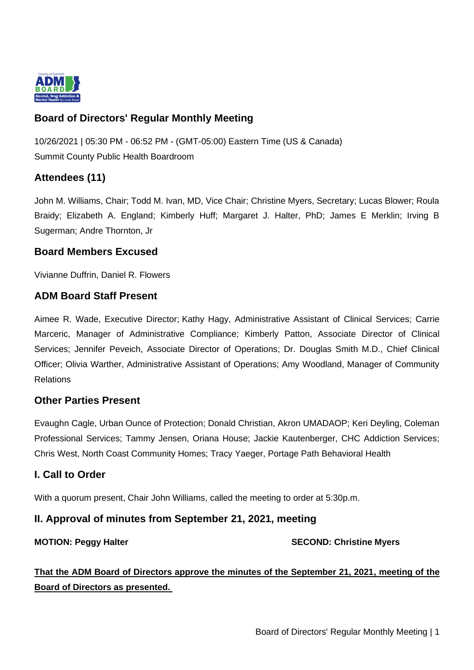

# **Board of Directors' Regular Monthly Meeting**

10/26/2021 | 05:30 PM - 06:52 PM - (GMT-05:00) Eastern Time (US & Canada) Summit County Public Health Boardroom

# **Attendees (11)**

John M. Williams, Chair; Todd M. Ivan, MD, Vice Chair; Christine Myers, Secretary; Lucas Blower; Roula Braidy; Elizabeth A. England; Kimberly Huff; Margaret J. Halter, PhD; James E Merklin; Irving B Sugerman; Andre Thornton, Jr

# **Board Members Excused**

Vivianne Duffrin, Daniel R. Flowers

#### **ADM Board Staff Present**

Aimee R. Wade, Executive Director; Kathy Hagy, Administrative Assistant of Clinical Services; Carrie Marceric, Manager of Administrative Compliance; Kimberly Patton, Associate Director of Clinical Services; Jennifer Peveich, Associate Director of Operations; Dr. Douglas Smith M.D., Chief Clinical Officer; Olivia Warther, Administrative Assistant of Operations; Amy Woodland, Manager of Community Relations

# **Other Parties Present**

Evaughn Cagle, Urban Ounce of Protection; Donald Christian, Akron UMADAOP; Keri Deyling, Coleman Professional Services; Tammy Jensen, Oriana House; Jackie Kautenberger, CHC Addiction Services; Chris West, North Coast Community Homes; Tracy Yaeger, Portage Path Behavioral Health

# **I. Call to Order**

With a quorum present, Chair John Williams, called the meeting to order at 5:30p.m.

# **II. Approval of minutes from September 21, 2021, meeting**

**MOTION: Peggy Halter SECOND: Christine Myers** 

**That the ADM Board of Directors approve the minutes of the September 21, 2021, meeting of the Board of Directors as presented.**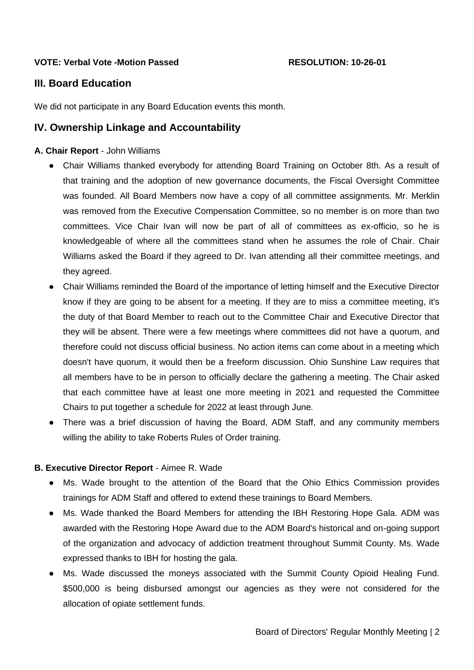#### **VOTE: Verbal Vote -Motion Passed RESOLUTION: 10-26-01**

# **III. Board Education**

We did not participate in any Board Education events this month.

### **IV. Ownership Linkage and Accountability**

#### **A. Chair Report** - John Williams

- Chair Williams thanked everybody for attending Board Training on October 8th. As a result of that training and the adoption of new governance documents, the Fiscal Oversight Committee was founded. All Board Members now have a copy of all committee assignments. Mr. Merklin was removed from the Executive Compensation Committee, so no member is on more than two committees. Vice Chair Ivan will now be part of all of committees as ex-officio, so he is knowledgeable of where all the committees stand when he assumes the role of Chair. Chair Williams asked the Board if they agreed to Dr. Ivan attending all their committee meetings, and they agreed.
- Chair Williams reminded the Board of the importance of letting himself and the Executive Director know if they are going to be absent for a meeting. If they are to miss a committee meeting, it's the duty of that Board Member to reach out to the Committee Chair and Executive Director that they will be absent. There were a few meetings where committees did not have a quorum, and therefore could not discuss official business. No action items can come about in a meeting which doesn't have quorum, it would then be a freeform discussion. Ohio Sunshine Law requires that all members have to be in person to officially declare the gathering a meeting. The Chair asked that each committee have at least one more meeting in 2021 and requested the Committee Chairs to put together a schedule for 2022 at least through June.
- There was a brief discussion of having the Board, ADM Staff, and any community members willing the ability to take Roberts Rules of Order training.

#### **B. Executive Director Report** - Aimee R. Wade

- Ms. Wade brought to the attention of the Board that the Ohio Ethics Commission provides trainings for ADM Staff and offered to extend these trainings to Board Members.
- Ms. Wade thanked the Board Members for attending the IBH Restoring Hope Gala. ADM was awarded with the Restoring Hope Award due to the ADM Board's historical and on-going support of the organization and advocacy of addiction treatment throughout Summit County. Ms. Wade expressed thanks to IBH for hosting the gala.
- Ms. Wade discussed the moneys associated with the Summit County Opioid Healing Fund. \$500,000 is being disbursed amongst our agencies as they were not considered for the allocation of opiate settlement funds.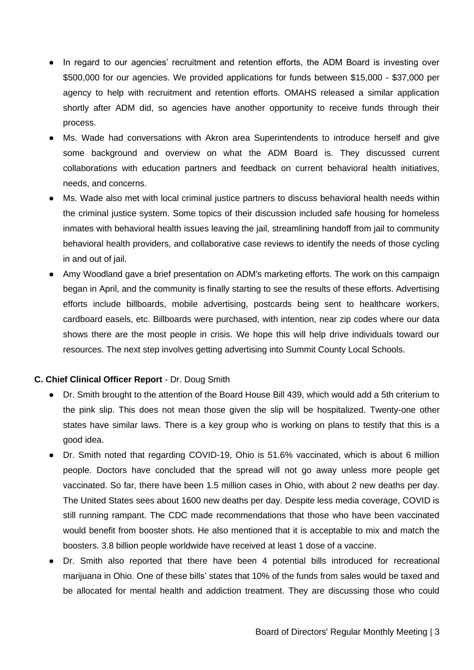- In regard to our agencies' recruitment and retention efforts, the ADM Board is investing over \$500,000 for our agencies. We provided applications for funds between \$15,000 - \$37,000 per agency to help with recruitment and retention efforts. OMAHS released a similar application shortly after ADM did, so agencies have another opportunity to receive funds through their process.
- Ms. Wade had conversations with Akron area Superintendents to introduce herself and give some background and overview on what the ADM Board is. They discussed current collaborations with education partners and feedback on current behavioral health initiatives, needs, and concerns.
- Ms. Wade also met with local criminal justice partners to discuss behavioral health needs within the criminal justice system. Some topics of their discussion included safe housing for homeless inmates with behavioral health issues leaving the jail, streamlining handoff from jail to community behavioral health providers, and collaborative case reviews to identify the needs of those cycling in and out of jail.
- Amy Woodland gave a brief presentation on ADM's marketing efforts. The work on this campaign began in April, and the community is finally starting to see the results of these efforts. Advertising efforts include billboards, mobile advertising, postcards being sent to healthcare workers, cardboard easels, etc. Billboards were purchased, with intention, near zip codes where our data shows there are the most people in crisis. We hope this will help drive individuals toward our resources. The next step involves getting advertising into Summit County Local Schools.

#### **C. Chief Clinical Officer Report** - Dr. Doug Smith

- Dr. Smith brought to the attention of the Board House Bill 439, which would add a 5th criterium to the pink slip. This does not mean those given the slip will be hospitalized. Twenty-one other states have similar laws. There is a key group who is working on plans to testify that this is a good idea.
- Dr. Smith noted that regarding COVID-19, Ohio is 51.6% vaccinated, which is about 6 million people. Doctors have concluded that the spread will not go away unless more people get vaccinated. So far, there have been 1.5 million cases in Ohio, with about 2 new deaths per day. The United States sees about 1600 new deaths per day. Despite less media coverage, COVID is still running rampant. The CDC made recommendations that those who have been vaccinated would benefit from booster shots. He also mentioned that it is acceptable to mix and match the boosters. 3.8 billion people worldwide have received at least 1 dose of a vaccine.
- Dr. Smith also reported that there have been 4 potential bills introduced for recreational marijuana in Ohio. One of these bills' states that 10% of the funds from sales would be taxed and be allocated for mental health and addiction treatment. They are discussing those who could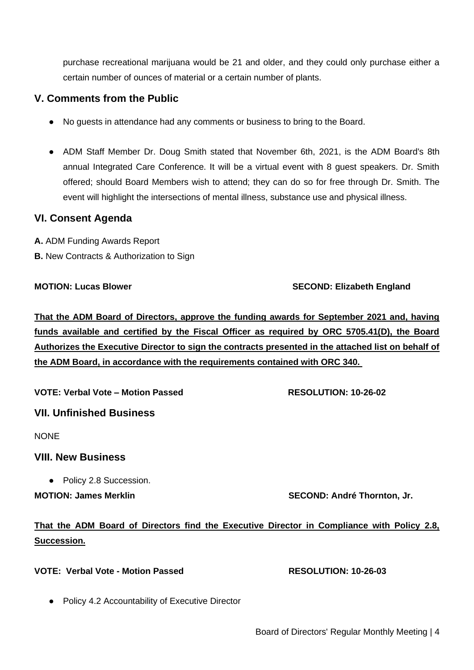purchase recreational marijuana would be 21 and older, and they could only purchase either a certain number of ounces of material or a certain number of plants.

# **V. Comments from the Public**

- No guests in attendance had any comments or business to bring to the Board.
- ADM Staff Member Dr. Doug Smith stated that November 6th, 2021, is the ADM Board's 8th annual Integrated Care Conference. It will be a virtual event with 8 guest speakers. Dr. Smith offered; should Board Members wish to attend; they can do so for free through Dr. Smith. The event will highlight the intersections of mental illness, substance use and physical illness.

# **VI. Consent Agenda**

**A.** ADM Funding Awards Report

**B.** New Contracts & Authorization to Sign

#### **MOTION: Lucas Blower SECOND: Elizabeth England**

# **That the ADM Board of Directors, approve the funding awards for September 2021 and, having funds available and certified by the Fiscal Officer as required by ORC 5705.41(D), the Board Authorizes the Executive Director to sign the contracts presented in the attached list on behalf of the ADM Board, in accordance with the requirements contained with ORC 340.**

VOTE: Verbal Vote – Motion Passed RESOLUTION: 10-26-02

# **VII. Unfinished Business**

NONE

# **VIII. New Business**

● Policy 2.8 Succession.

**MOTION: James Merklin SECOND: André Thornton, Jr.** 

# **That the ADM Board of Directors find the Executive Director in Compliance with Policy 2.8, Succession.**

# **VOTE: Verbal Vote - Motion Passed RESOLUTION: 10-26-03**

- 
- Policy 4.2 Accountability of Executive Director